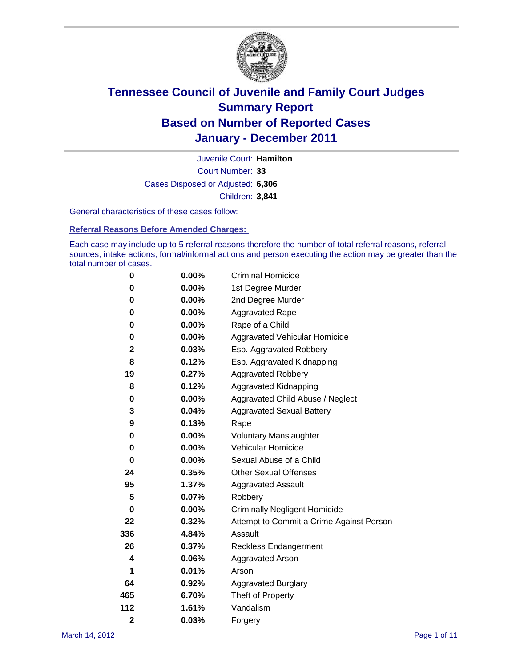

Court Number: **33** Juvenile Court: **Hamilton** Cases Disposed or Adjusted: **6,306** Children: **3,841**

General characteristics of these cases follow:

**Referral Reasons Before Amended Charges:** 

Each case may include up to 5 referral reasons therefore the number of total referral reasons, referral sources, intake actions, formal/informal actions and person executing the action may be greater than the total number of cases.

| 0              | $0.00\%$ | <b>Criminal Homicide</b>                 |
|----------------|----------|------------------------------------------|
| 0              | 0.00%    | 1st Degree Murder                        |
| 0              | $0.00\%$ | 2nd Degree Murder                        |
| 0              | $0.00\%$ | <b>Aggravated Rape</b>                   |
| 0              | $0.00\%$ | Rape of a Child                          |
| 0              | 0.00%    | Aggravated Vehicular Homicide            |
| 2              | 0.03%    | Esp. Aggravated Robbery                  |
| 8              | 0.12%    | Esp. Aggravated Kidnapping               |
| 19             | 0.27%    | <b>Aggravated Robbery</b>                |
| 8              | 0.12%    | Aggravated Kidnapping                    |
| 0              | 0.00%    | Aggravated Child Abuse / Neglect         |
| 3              | 0.04%    | <b>Aggravated Sexual Battery</b>         |
| 9              | 0.13%    | Rape                                     |
| 0              | $0.00\%$ | <b>Voluntary Manslaughter</b>            |
| 0              | 0.00%    | Vehicular Homicide                       |
| 0              | $0.00\%$ | Sexual Abuse of a Child                  |
| 24             | 0.35%    | <b>Other Sexual Offenses</b>             |
| 95             | 1.37%    | <b>Aggravated Assault</b>                |
| 5              | 0.07%    | Robbery                                  |
| 0              | $0.00\%$ | <b>Criminally Negligent Homicide</b>     |
| 22             | 0.32%    | Attempt to Commit a Crime Against Person |
| 336            | 4.84%    | Assault                                  |
| 26             | 0.37%    | <b>Reckless Endangerment</b>             |
| 4              | 0.06%    | <b>Aggravated Arson</b>                  |
| 1              | 0.01%    | Arson                                    |
| 64             | 0.92%    | <b>Aggravated Burglary</b>               |
| 465            | 6.70%    | Theft of Property                        |
| 112            | 1.61%    | Vandalism                                |
| $\overline{2}$ | 0.03%    | Forgery                                  |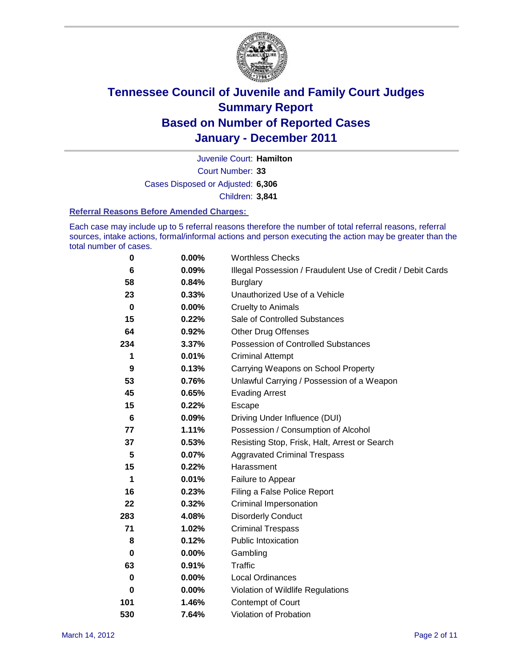

Court Number: **33** Juvenile Court: **Hamilton** Cases Disposed or Adjusted: **6,306** Children: **3,841**

#### **Referral Reasons Before Amended Charges:**

Each case may include up to 5 referral reasons therefore the number of total referral reasons, referral sources, intake actions, formal/informal actions and person executing the action may be greater than the total number of cases.

| $\pmb{0}$ | 0.00%    | <b>Worthless Checks</b>                                     |
|-----------|----------|-------------------------------------------------------------|
| 6         | 0.09%    | Illegal Possession / Fraudulent Use of Credit / Debit Cards |
| 58        | 0.84%    | <b>Burglary</b>                                             |
| 23        | 0.33%    | Unauthorized Use of a Vehicle                               |
| $\bf{0}$  | $0.00\%$ | <b>Cruelty to Animals</b>                                   |
| 15        | 0.22%    | Sale of Controlled Substances                               |
| 64        | 0.92%    | <b>Other Drug Offenses</b>                                  |
| 234       | 3.37%    | Possession of Controlled Substances                         |
| 1         | 0.01%    | <b>Criminal Attempt</b>                                     |
| 9         | 0.13%    | Carrying Weapons on School Property                         |
| 53        | 0.76%    | Unlawful Carrying / Possession of a Weapon                  |
| 45        | 0.65%    | <b>Evading Arrest</b>                                       |
| 15        | 0.22%    | Escape                                                      |
| 6         | 0.09%    | Driving Under Influence (DUI)                               |
| 77        | 1.11%    | Possession / Consumption of Alcohol                         |
| 37        | 0.53%    | Resisting Stop, Frisk, Halt, Arrest or Search               |
| 5         | 0.07%    | <b>Aggravated Criminal Trespass</b>                         |
| 15        | 0.22%    | Harassment                                                  |
| 1         | 0.01%    | Failure to Appear                                           |
| 16        | 0.23%    | Filing a False Police Report                                |
| 22        | 0.32%    | Criminal Impersonation                                      |
| 283       | 4.08%    | <b>Disorderly Conduct</b>                                   |
| 71        | 1.02%    | <b>Criminal Trespass</b>                                    |
| 8         | 0.12%    | <b>Public Intoxication</b>                                  |
| 0         | 0.00%    | Gambling                                                    |
| 63        | 0.91%    | <b>Traffic</b>                                              |
| 0         | 0.00%    | Local Ordinances                                            |
| 0         | 0.00%    | Violation of Wildlife Regulations                           |
| 101       | 1.46%    | Contempt of Court                                           |
| 530       | 7.64%    | Violation of Probation                                      |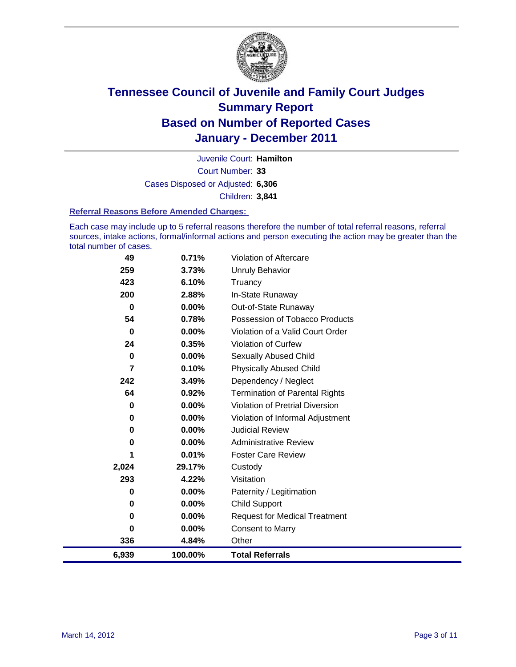

Court Number: **33** Juvenile Court: **Hamilton** Cases Disposed or Adjusted: **6,306** Children: **3,841**

#### **Referral Reasons Before Amended Charges:**

Each case may include up to 5 referral reasons therefore the number of total referral reasons, referral sources, intake actions, formal/informal actions and person executing the action may be greater than the total number of cases.

| 49             | 0.71%    | Violation of Aftercare                 |
|----------------|----------|----------------------------------------|
| 259            | 3.73%    | <b>Unruly Behavior</b>                 |
| 423            | 6.10%    | Truancy                                |
| 200            | 2.88%    | In-State Runaway                       |
| $\mathbf 0$    | 0.00%    | Out-of-State Runaway                   |
| 54             | 0.78%    | Possession of Tobacco Products         |
| $\mathbf 0$    | $0.00\%$ | Violation of a Valid Court Order       |
| 24             | 0.35%    | <b>Violation of Curfew</b>             |
| 0              | 0.00%    | Sexually Abused Child                  |
| $\overline{7}$ | 0.10%    | <b>Physically Abused Child</b>         |
| 242            | 3.49%    | Dependency / Neglect                   |
| 64             | 0.92%    | <b>Termination of Parental Rights</b>  |
| 0              | $0.00\%$ | <b>Violation of Pretrial Diversion</b> |
| 0              | 0.00%    | Violation of Informal Adjustment       |
| 0              | $0.00\%$ | <b>Judicial Review</b>                 |
| 0              | $0.00\%$ | <b>Administrative Review</b>           |
| 1              | 0.01%    | <b>Foster Care Review</b>              |
| 2,024          | 29.17%   | Custody                                |
| 293            | 4.22%    | Visitation                             |
| 0              | $0.00\%$ | Paternity / Legitimation               |
| 0              | 0.00%    | <b>Child Support</b>                   |
| 0              | $0.00\%$ | <b>Request for Medical Treatment</b>   |
| 0              | $0.00\%$ | <b>Consent to Marry</b>                |
| 336            | 4.84%    | Other                                  |
| 6,939          | 100.00%  | <b>Total Referrals</b>                 |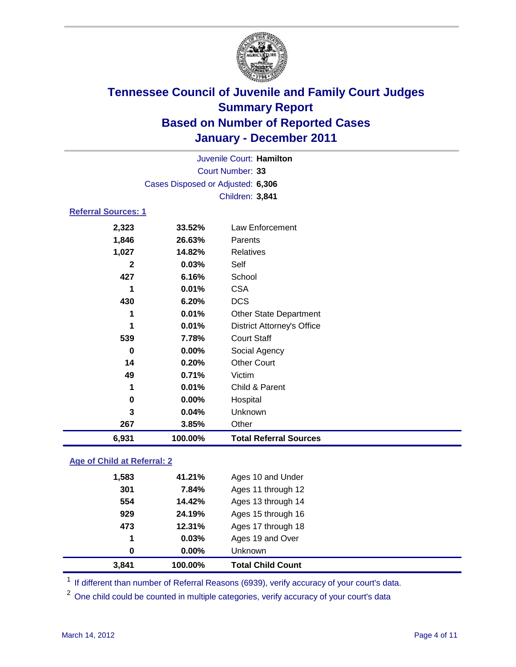

|                             |                                   | Juvenile Court: Hamilton          |  |
|-----------------------------|-----------------------------------|-----------------------------------|--|
|                             |                                   | Court Number: 33                  |  |
|                             | Cases Disposed or Adjusted: 6,306 |                                   |  |
|                             |                                   | Children: 3,841                   |  |
| <b>Referral Sources: 1</b>  |                                   |                                   |  |
| 2,323                       | 33.52%                            | <b>Law Enforcement</b>            |  |
| 1,846                       | 26.63%                            | Parents                           |  |
| 1,027                       | 14.82%                            | <b>Relatives</b>                  |  |
| $\mathbf{2}$                | 0.03%                             | Self                              |  |
| 427                         | 6.16%                             | School                            |  |
| 1                           | 0.01%                             | <b>CSA</b>                        |  |
| 430                         | 6.20%                             | <b>DCS</b>                        |  |
| 1                           | 0.01%                             | <b>Other State Department</b>     |  |
| 1                           | 0.01%                             | <b>District Attorney's Office</b> |  |
| 539                         | 7.78%                             | <b>Court Staff</b>                |  |
| $\mathbf 0$                 | 0.00%                             | Social Agency                     |  |
| 14                          | 0.20%                             | <b>Other Court</b>                |  |
| 49                          | 0.71%                             | Victim                            |  |
| 1                           | 0.01%                             | Child & Parent                    |  |
| 0                           | 0.00%                             | Hospital                          |  |
| 3                           | 0.04%                             | Unknown                           |  |
| 267                         | 3.85%                             | Other                             |  |
| 6,931                       | 100.00%                           | <b>Total Referral Sources</b>     |  |
| Age of Child at Referral: 2 |                                   |                                   |  |

|  |  | Age of Unita at Referral: 2 |  |
|--|--|-----------------------------|--|
|  |  |                             |  |
|  |  |                             |  |

| 3,841 | 100.00%  | <b>Total Child Count</b> |
|-------|----------|--------------------------|
| 0     | $0.00\%$ | <b>Unknown</b>           |
| 1     | 0.03%    | Ages 19 and Over         |
| 473   | 12.31%   | Ages 17 through 18       |
| 929   | 24.19%   | Ages 15 through 16       |
| 554   | 14.42%   | Ages 13 through 14       |
| 301   | 7.84%    | Ages 11 through 12       |
| 1,583 | 41.21%   | Ages 10 and Under        |

<sup>1</sup> If different than number of Referral Reasons (6939), verify accuracy of your court's data.

<sup>2</sup> One child could be counted in multiple categories, verify accuracy of your court's data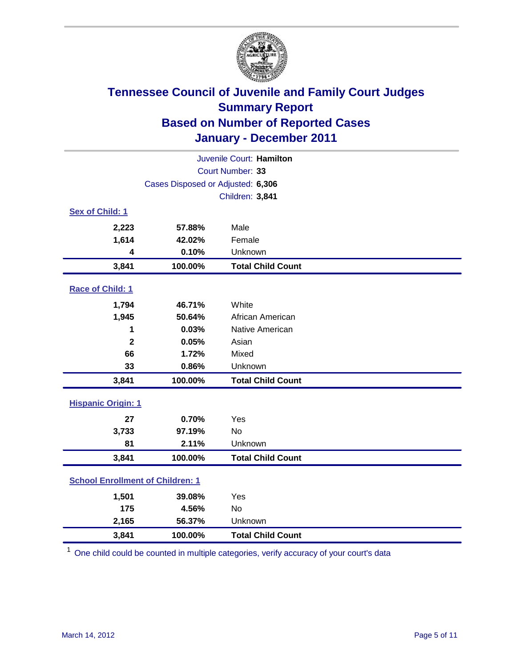

| Juvenile Court: Hamilton                |                                   |                          |  |  |  |
|-----------------------------------------|-----------------------------------|--------------------------|--|--|--|
| Court Number: 33                        |                                   |                          |  |  |  |
|                                         | Cases Disposed or Adjusted: 6,306 |                          |  |  |  |
|                                         |                                   | Children: 3,841          |  |  |  |
| Sex of Child: 1                         |                                   |                          |  |  |  |
| 2,223                                   | 57.88%                            | Male                     |  |  |  |
| 1,614                                   | 42.02%                            | Female                   |  |  |  |
| $\overline{\mathbf{4}}$                 | 0.10%                             | Unknown                  |  |  |  |
| 3,841                                   | 100.00%                           | <b>Total Child Count</b> |  |  |  |
| Race of Child: 1                        |                                   |                          |  |  |  |
| 1,794                                   | 46.71%                            | White                    |  |  |  |
| 1,945                                   | 50.64%                            | African American         |  |  |  |
| 1                                       | 0.03%                             | Native American          |  |  |  |
| $\mathbf{2}$                            | 0.05%                             | Asian                    |  |  |  |
| 66                                      | 1.72%                             | Mixed                    |  |  |  |
| 33                                      | 0.86%                             | Unknown                  |  |  |  |
| 3,841                                   | 100.00%                           | <b>Total Child Count</b> |  |  |  |
| <b>Hispanic Origin: 1</b>               |                                   |                          |  |  |  |
| 27                                      | 0.70%                             | Yes                      |  |  |  |
| 3,733                                   | 97.19%                            | <b>No</b>                |  |  |  |
| 81                                      | 2.11%                             | Unknown                  |  |  |  |
| 3,841                                   | 100.00%                           | <b>Total Child Count</b> |  |  |  |
| <b>School Enrollment of Children: 1</b> |                                   |                          |  |  |  |
| 1,501                                   | 39.08%                            | Yes                      |  |  |  |
| 175                                     | 4.56%                             | <b>No</b>                |  |  |  |
| 2,165                                   | 56.37%                            | Unknown                  |  |  |  |
| 3,841                                   | 100.00%                           | <b>Total Child Count</b> |  |  |  |

<sup>1</sup> One child could be counted in multiple categories, verify accuracy of your court's data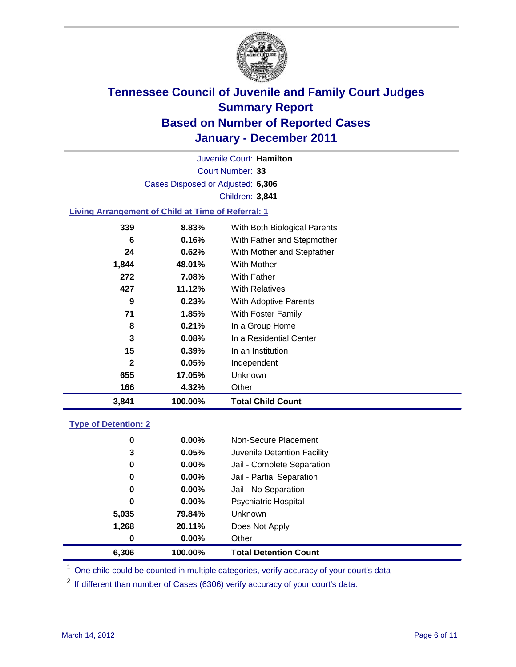

Court Number: **33** Juvenile Court: **Hamilton** Cases Disposed or Adjusted: **6,306** Children: **3,841**

### **Living Arrangement of Child at Time of Referral: 1**

| 3,841        | 100.00% | <b>Total Child Count</b>     |
|--------------|---------|------------------------------|
| 166          | 4.32%   | Other                        |
| 655          | 17.05%  | Unknown                      |
| $\mathbf{2}$ | 0.05%   | Independent                  |
| 15           | 0.39%   | In an Institution            |
| 3            | 0.08%   | In a Residential Center      |
| 8            | 0.21%   | In a Group Home              |
| 71           | 1.85%   | With Foster Family           |
| 9            | 0.23%   | <b>With Adoptive Parents</b> |
| 427          | 11.12%  | <b>With Relatives</b>        |
| 272          | 7.08%   | With Father                  |
| 1,844        | 48.01%  | With Mother                  |
| 24           | 0.62%   | With Mother and Stepfather   |
| 6            | 0.16%   | With Father and Stepmother   |
| 339          | 8.83%   | With Both Biological Parents |
|              |         |                              |

#### **Type of Detention: 2**

| 6.306 | 100.00%  | <b>Total Detention Count</b> |  |
|-------|----------|------------------------------|--|
| 0     | 0.00%    | Other                        |  |
| 1,268 | 20.11%   | Does Not Apply               |  |
| 5,035 | 79.84%   | Unknown                      |  |
| 0     | $0.00\%$ | Psychiatric Hospital         |  |
| 0     | 0.00%    | Jail - No Separation         |  |
| 0     | $0.00\%$ | Jail - Partial Separation    |  |
| 0     | 0.00%    | Jail - Complete Separation   |  |
| 3     | 0.05%    | Juvenile Detention Facility  |  |
| 0     | $0.00\%$ | Non-Secure Placement         |  |
|       |          |                              |  |

<sup>1</sup> One child could be counted in multiple categories, verify accuracy of your court's data

<sup>2</sup> If different than number of Cases (6306) verify accuracy of your court's data.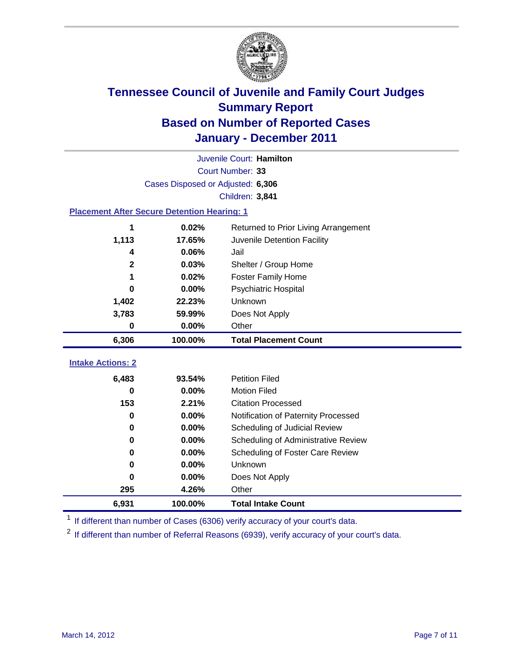

|                                                    | Juvenile Court: Hamilton          |                                      |  |  |  |  |
|----------------------------------------------------|-----------------------------------|--------------------------------------|--|--|--|--|
| Court Number: 33                                   |                                   |                                      |  |  |  |  |
|                                                    | Cases Disposed or Adjusted: 6,306 |                                      |  |  |  |  |
|                                                    |                                   | Children: 3,841                      |  |  |  |  |
| <b>Placement After Secure Detention Hearing: 1</b> |                                   |                                      |  |  |  |  |
| 1                                                  | 0.02%                             | Returned to Prior Living Arrangement |  |  |  |  |
| 1,113                                              | 17.65%                            | Juvenile Detention Facility          |  |  |  |  |
| 4                                                  | 0.06%                             | Jail                                 |  |  |  |  |
| $\mathbf{2}$                                       | 0.03%                             | Shelter / Group Home                 |  |  |  |  |
| 1                                                  | 0.02%                             | Foster Family Home                   |  |  |  |  |
| 0                                                  | 0.00%                             | Psychiatric Hospital                 |  |  |  |  |
| 1,402                                              | 22.23%                            | Unknown                              |  |  |  |  |
| 3,783                                              | 59.99%                            | Does Not Apply                       |  |  |  |  |
| $\bf{0}$                                           | 0.00%                             | Other                                |  |  |  |  |
| 6,306                                              | 100.00%                           | <b>Total Placement Count</b>         |  |  |  |  |
| <b>Intake Actions: 2</b>                           |                                   |                                      |  |  |  |  |
|                                                    |                                   |                                      |  |  |  |  |
| 6,483                                              | 93.54%                            | <b>Petition Filed</b>                |  |  |  |  |
| 0                                                  | 0.00%                             | <b>Motion Filed</b>                  |  |  |  |  |
| 153                                                | 2.21%                             | <b>Citation Processed</b>            |  |  |  |  |
| 0                                                  | 0.00%                             | Notification of Paternity Processed  |  |  |  |  |
| $\bf{0}$                                           | 0.00%                             | Scheduling of Judicial Review        |  |  |  |  |
| 0                                                  | 0.00%                             | Scheduling of Administrative Review  |  |  |  |  |
| 0                                                  | 0.00%                             | Scheduling of Foster Care Review     |  |  |  |  |
| 0                                                  | 0.00%                             | Unknown                              |  |  |  |  |
| 0                                                  | 0.00%                             | Does Not Apply                       |  |  |  |  |
| 295                                                | 4.26%                             | Other                                |  |  |  |  |
| 6,931                                              | 100.00%                           | <b>Total Intake Count</b>            |  |  |  |  |

<sup>1</sup> If different than number of Cases (6306) verify accuracy of your court's data.

<sup>2</sup> If different than number of Referral Reasons (6939), verify accuracy of your court's data.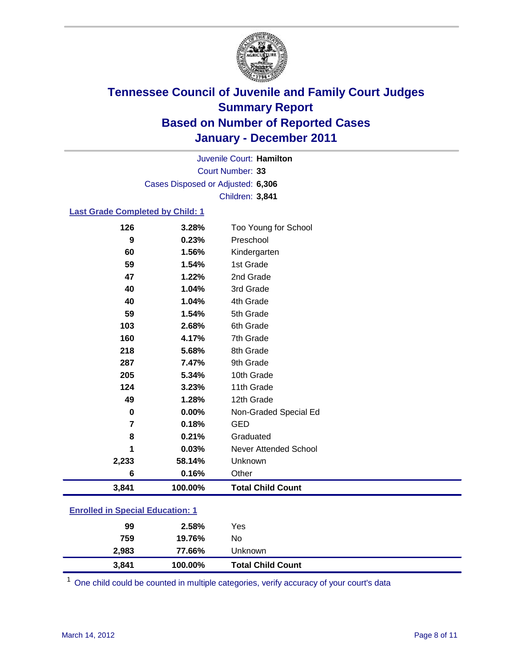

Court Number: **33** Juvenile Court: **Hamilton** Cases Disposed or Adjusted: **6,306** Children: **3,841**

### **Last Grade Completed by Child: 1**

| 126                                     | 3.28%   | Too Young for School     |
|-----------------------------------------|---------|--------------------------|
| 9                                       | 0.23%   | Preschool                |
| 60                                      | 1.56%   | Kindergarten             |
| 59                                      | 1.54%   | 1st Grade                |
| 47                                      | 1.22%   | 2nd Grade                |
| 40                                      | 1.04%   | 3rd Grade                |
| 40                                      | 1.04%   | 4th Grade                |
| 59                                      | 1.54%   | 5th Grade                |
| 103                                     | 2.68%   | 6th Grade                |
| 160                                     | 4.17%   | 7th Grade                |
| 218                                     | 5.68%   | 8th Grade                |
| 287                                     | 7.47%   | 9th Grade                |
| 205                                     | 5.34%   | 10th Grade               |
| 124                                     | 3.23%   | 11th Grade               |
| 49                                      | 1.28%   | 12th Grade               |
| 0                                       | 0.00%   | Non-Graded Special Ed    |
| 7                                       | 0.18%   | <b>GED</b>               |
| 8                                       | 0.21%   | Graduated                |
| 1                                       | 0.03%   | Never Attended School    |
| 2,233                                   | 58.14%  | Unknown                  |
| 6                                       | 0.16%   | Other                    |
| 3,841                                   | 100.00% | <b>Total Child Count</b> |
| <b>Enrolled in Special Education: 1</b> |         |                          |

| 3,841 | 100.00% | <b>Total Child Count</b> |  |
|-------|---------|--------------------------|--|
| 2,983 | 77.66%  | Unknown                  |  |
| 759   | 19.76%  | No                       |  |
| 99    | 2.58%   | Yes                      |  |

One child could be counted in multiple categories, verify accuracy of your court's data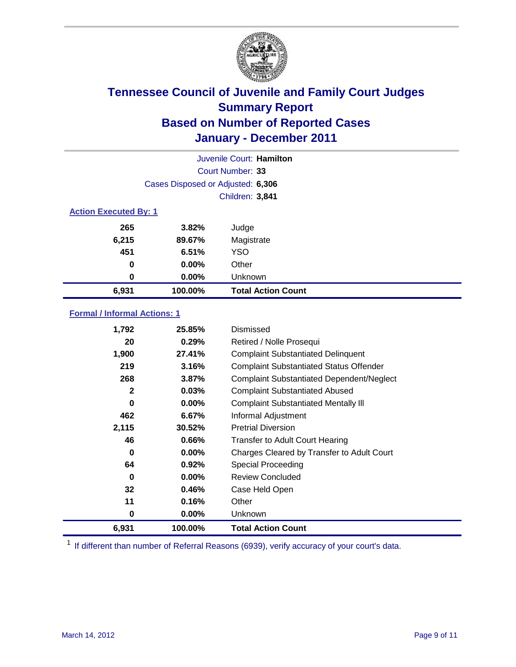

|                              |                                   | Juvenile Court: Hamilton  |
|------------------------------|-----------------------------------|---------------------------|
|                              |                                   | Court Number: 33          |
|                              | Cases Disposed or Adjusted: 6,306 |                           |
|                              |                                   | Children: 3,841           |
| <b>Action Executed By: 1</b> |                                   |                           |
| 265                          | 3.82%                             | Judge                     |
| 6,215                        | 89.67%                            | Magistrate                |
| 451                          | 6.51%                             | <b>YSO</b>                |
| 0                            | 0.00%                             | Other                     |
| 0                            | 0.00%                             | Unknown                   |
| 6,931                        | 100.00%                           | <b>Total Action Count</b> |

### **Formal / Informal Actions: 1**

| 1,792        | 25.85%   | <b>Dismissed</b>                                 |
|--------------|----------|--------------------------------------------------|
| 20           | 0.29%    | Retired / Nolle Prosequi                         |
| 1,900        | 27.41%   | <b>Complaint Substantiated Delinquent</b>        |
| 219          | 3.16%    | <b>Complaint Substantiated Status Offender</b>   |
| 268          | 3.87%    | <b>Complaint Substantiated Dependent/Neglect</b> |
| $\mathbf{2}$ | 0.03%    | <b>Complaint Substantiated Abused</b>            |
| 0            | $0.00\%$ | <b>Complaint Substantiated Mentally III</b>      |
| 462          | 6.67%    | Informal Adjustment                              |
| 2,115        | 30.52%   | <b>Pretrial Diversion</b>                        |
| 46           | 0.66%    | <b>Transfer to Adult Court Hearing</b>           |
| 0            | $0.00\%$ | Charges Cleared by Transfer to Adult Court       |
| 64           | 0.92%    | <b>Special Proceeding</b>                        |
| 0            | $0.00\%$ | <b>Review Concluded</b>                          |
| 32           | 0.46%    | Case Held Open                                   |
| 11           | 0.16%    | Other                                            |
| 0            | $0.00\%$ | Unknown                                          |
| 6,931        | 100.00%  | <b>Total Action Count</b>                        |

<sup>1</sup> If different than number of Referral Reasons (6939), verify accuracy of your court's data.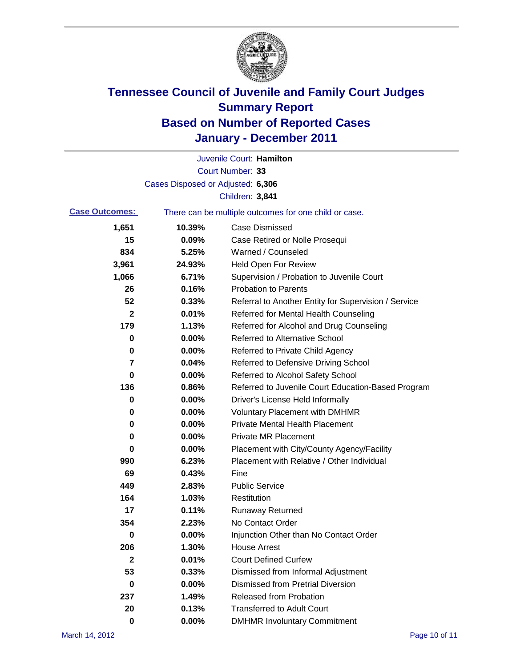

|                       |                                   | Juvenile Court: Hamilton                              |
|-----------------------|-----------------------------------|-------------------------------------------------------|
|                       |                                   | Court Number: 33                                      |
|                       | Cases Disposed or Adjusted: 6,306 |                                                       |
|                       |                                   | Children: 3,841                                       |
| <b>Case Outcomes:</b> |                                   | There can be multiple outcomes for one child or case. |
| 1,651                 | 10.39%                            | <b>Case Dismissed</b>                                 |
| 15                    | 0.09%                             | Case Retired or Nolle Prosequi                        |
| 834                   | 5.25%                             | Warned / Counseled                                    |
| 3,961                 | 24.93%                            | <b>Held Open For Review</b>                           |
| 1,066                 | 6.71%                             | Supervision / Probation to Juvenile Court             |
| 26                    | 0.16%                             | <b>Probation to Parents</b>                           |
| 52                    | 0.33%                             | Referral to Another Entity for Supervision / Service  |
| 2                     | 0.01%                             | Referred for Mental Health Counseling                 |
| 179                   | 1.13%                             | Referred for Alcohol and Drug Counseling              |
| 0                     | 0.00%                             | <b>Referred to Alternative School</b>                 |
| 0                     | 0.00%                             | Referred to Private Child Agency                      |
| 7                     | 0.04%                             | Referred to Defensive Driving School                  |
| 0                     | 0.00%                             | Referred to Alcohol Safety School                     |
| 136                   | 0.86%                             | Referred to Juvenile Court Education-Based Program    |
| 0                     | 0.00%                             | Driver's License Held Informally                      |
| 0                     | 0.00%                             | <b>Voluntary Placement with DMHMR</b>                 |
| 0                     | 0.00%                             | <b>Private Mental Health Placement</b>                |
| 0                     | 0.00%                             | <b>Private MR Placement</b>                           |
| 0                     | 0.00%                             | Placement with City/County Agency/Facility            |
| 990                   | 6.23%                             | Placement with Relative / Other Individual            |
| 69                    | 0.43%                             | Fine                                                  |
| 449                   | 2.83%                             | <b>Public Service</b>                                 |
| 164                   | 1.03%                             | Restitution                                           |
| 17                    | 0.11%                             | <b>Runaway Returned</b>                               |
| 354                   | 2.23%                             | No Contact Order                                      |
| $\boldsymbol{0}$      | 0.00%                             | Injunction Other than No Contact Order                |
| 206                   | 1.30%                             | <b>House Arrest</b>                                   |
| 2                     | 0.01%                             | <b>Court Defined Curfew</b>                           |
| 53                    | 0.33%                             | Dismissed from Informal Adjustment                    |
| 0                     | 0.00%                             | <b>Dismissed from Pretrial Diversion</b>              |
| 237                   | 1.49%                             | Released from Probation                               |
| 20                    | 0.13%                             | <b>Transferred to Adult Court</b>                     |
| $\mathbf 0$           | $0.00\%$                          | <b>DMHMR Involuntary Commitment</b>                   |